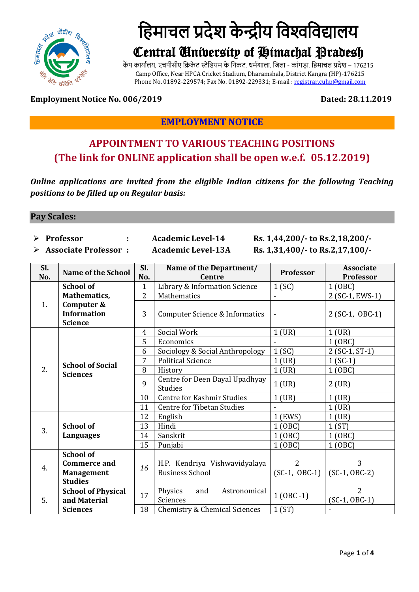

# हिमाचल प्रदेश केन्द्रीय विश्वविद्यालय

# Central University of Himachal Pradesh

कैंप कार्यालय, एचपीसीए क्रिकेट स्टेडियम के निकट, धर्मशाला, जिला - कांगडा, हिमाचल प्रदेश – 176215 Camp Office, Near HPCA Cricket Stadium, Dharamshala, District Kangra (HP)-176215 Phone No. 01892-229574; Fax No. 01892-229331; E-mail [: registrar.cuhp@gmail.com](mailto:registrar.cuhp@gmail.com)

#### **Employment Notice No. 006/2019 Dated: 28.11.2019**

### **EMPLOYMENT NOTICE**

## **APPOINTMENT TO VARIOUS TEACHING POSITIONS (The link for ONLINE application shall be open w.e.f. 05.12.2019)**

*Online applications are invited from the eligible Indian citizens for the following Teaching positions to be filled up on Regular basis:*

#### **Pay Scales:**

- -
- 

 **Professor : Academic Level-14 Rs. 1,44,200/- to Rs.2,18,200/- Associate Professor : Academic Level-13A Rs. 1,31,400/- to Rs.2,17,100/-**

| Sl.<br>No. | <b>Name of the School</b>                                                      | Sl.<br>No.     | Name of the Department/<br><b>Centre</b>                                               | Professor              | <b>Associate</b><br>Professor     |
|------------|--------------------------------------------------------------------------------|----------------|----------------------------------------------------------------------------------------|------------------------|-----------------------------------|
| 1.         | <b>School of</b>                                                               | 1              | Library & Information Science                                                          | 1(SC)                  | 1 (OBC)                           |
|            | Mathematics,                                                                   | $\overline{2}$ | Mathematics                                                                            |                        | 2 (SC-1, EWS-1)                   |
|            | Computer &<br><b>Information</b><br><b>Science</b>                             | 3              | <b>Computer Science &amp; Informatics</b>                                              |                        | 2 (SC-1, OBC-1)                   |
| 2.         | <b>School of Social</b><br><b>Sciences</b>                                     | 4              | Social Work                                                                            | $1$ (UR)               | $1$ (UR)                          |
|            |                                                                                | 5              | Economics                                                                              |                        | 1 (OBC)                           |
|            |                                                                                | 6              | Sociology & Social Anthropology                                                        | 1(SC)                  | 2 (SC-1, ST-1)                    |
|            |                                                                                | 7              | <b>Political Science</b>                                                               | $1$ (UR)               | $1(SC-1)$                         |
|            |                                                                                | 8              | History                                                                                | $1$ (UR)               | 1 (OBC)                           |
|            |                                                                                | 9              | Centre for Deen Dayal Upadhyay<br><b>Studies</b>                                       | $1$ (UR)               | $2$ (UR)                          |
|            |                                                                                | 10             | <b>Centre for Kashmir Studies</b>                                                      | $1$ (UR)               | $1$ (UR)                          |
|            |                                                                                | 11             | <b>Centre for Tibetan Studies</b>                                                      |                        | $1$ (UR)                          |
| 3.         | <b>School of</b><br>Languages                                                  | 12             | English                                                                                | 1 (EWS)                | $1$ (UR)                          |
|            |                                                                                | 13             | Hindi                                                                                  | 1 (OBC)                | 1(ST)                             |
|            |                                                                                | 14             | Sanskrit                                                                               | 1(0BC)                 | 1 (OBC)                           |
|            |                                                                                | 15             | Punjabi                                                                                | 1 (OBC)                | 1 (OBC)                           |
| 4.         | <b>School of</b><br><b>Commerce and</b><br><b>Management</b><br><b>Studies</b> | 16             | H.P. Kendriya Vishwavidyalaya<br><b>Business School</b>                                | 2<br>$(SC-1, OBC-1)$   | 3<br>$(SC-1, OBC-2)$              |
| 5.         | <b>School of Physical</b><br>and Material<br><b>Sciences</b>                   | 17<br>18       | Physics<br>Astronomical<br>and<br>Sciences<br><b>Chemistry &amp; Chemical Sciences</b> | $1 (OBC - 1)$<br>1(ST) | $\overline{2}$<br>$(SC-1, OBC-1)$ |
|            |                                                                                |                |                                                                                        |                        |                                   |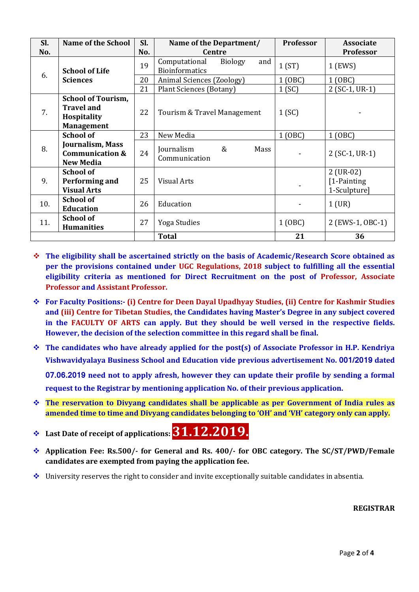| Sl. | <b>Name of the School</b>                                                                 | Sl. | Name of the Department/                                         | Professor | <b>Associate</b>                            |
|-----|-------------------------------------------------------------------------------------------|-----|-----------------------------------------------------------------|-----------|---------------------------------------------|
| No. |                                                                                           | No. | <b>Centre</b>                                                   |           | <b>Professor</b>                            |
| 6.  | <b>School of Life</b><br><b>Sciences</b>                                                  | 19  | <b>Biology</b><br>and<br>Computational<br><b>Bioinformatics</b> | 1(ST)     | 1 (EWS)                                     |
|     |                                                                                           | 20  | Animal Sciences (Zoology)                                       | 1 (OBC)   | 1 (OBC)                                     |
|     |                                                                                           | 21  | Plant Sciences (Botany)                                         | 1(SC)     | $2(SC-1, UR-1)$                             |
| 7.  | <b>School of Tourism,</b><br><b>Travel and</b><br><b>Hospitality</b><br><b>Management</b> | 22  | Tourism & Travel Management                                     | 1(SC)     |                                             |
|     | <b>School of</b>                                                                          | 23  | New Media                                                       | 1 (OBC)   | 1 (OBC)                                     |
| 8.  | Journalism, Mass<br><b>Communication &amp;</b><br><b>New Media</b>                        | 24  | &<br>Journalism<br>Mass<br>Communication                        |           | $2(SC-1, UR-1)$                             |
| 9.  | <b>School of</b><br>Performing and<br><b>Visual Arts</b>                                  | 25  | <b>Visual Arts</b>                                              |           | $2$ (UR-02)<br>[1-Painting]<br>1-Sculpture] |
| 10. | <b>School of</b><br><b>Education</b>                                                      | 26  | Education                                                       |           | $1$ (UR)                                    |
| 11. | <b>School of</b><br><b>Humanities</b>                                                     | 27  | Yoga Studies                                                    | 1 (OBC)   | 2 (EWS-1, OBC-1)                            |
|     |                                                                                           |     | <b>Total</b>                                                    | 21        | 36                                          |

- **The eligibility shall be ascertained strictly on the basis of Academic/Research Score obtained as per the provisions contained under UGC Regulations, 2018 subject to fulfilling all the essential eligibility criteria as mentioned for Direct Recruitment on the post of Professor, Associate Professor and Assistant Professor.**
- **For Faculty Positions:- (i) Centre for Deen Dayal Upadhyay Studies, (ii) Centre for Kashmir Studies and (iii) Centre for Tibetan Studies, the Candidates having Master's Degree in any subject covered in the FACULTY OF ARTS can apply. But they should be well versed in the respective fields. However, the decision of the selection committee in this regard shall be final.**
- **The candidates who have already applied for the post(s) of Associate Professor in H.P. Kendriya Vishwavidyalaya Business School and Education vide previous advertisement No. 001/2019 dated**

**07.06.2019 need not to apply afresh, however they can update their profile by sending a formal request to the Registrar by mentioning application No. of their previous application.**

- **The reservation to Divyang candidates shall be applicable as per Government of India rules as amended time to time and Divyang candidates belonging to 'OH' and 'VH' category only can apply.**
- **Last Date of receipt of applications: 31.12.2019.**
- **Application Fee: Rs.500/- for General and Rs. 400/- for OBC category. The SC/ST/PWD/Female candidates are exempted from paying the application fee.**
- $\bullet$  University reserves the right to consider and invite exceptionally suitable candidates in absentia.

**REGISTRAR**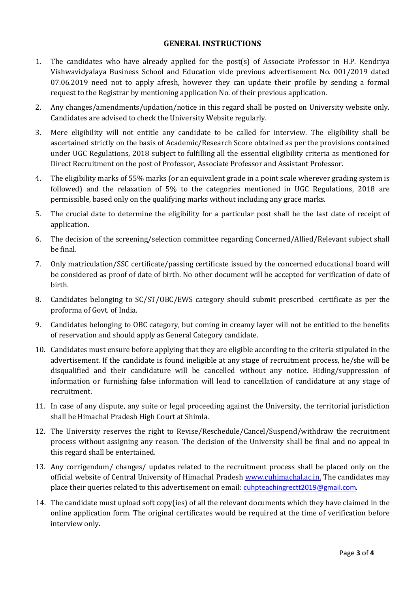#### **GENERAL INSTRUCTIONS**

- 1. The candidates who have already applied for the post(s) of Associate Professor in H.P. Kendriya Vishwavidyalaya Business School and Education vide previous advertisement No. 001/2019 dated 07.06.2019 need not to apply afresh, however they can update their profile by sending a formal request to the Registrar by mentioning application No. of their previous application.
- 2. Any changes/amendments/updation/notice in this regard shall be posted on University website only. Candidates are advised to check the University Website regularly.
- 3. Mere eligibility will not entitle any candidate to be called for interview. The eligibility shall be ascertained strictly on the basis of Academic/Research Score obtained as per the provisions contained under UGC Regulations, 2018 subject to fulfilling all the essential eligibility criteria as mentioned for Direct Recruitment on the post of Professor, Associate Professor and Assistant Professor.
- 4. The eligibility marks of 55% marks (or an equivalent grade in a point scale wherever grading system is followed) and the relaxation of 5% to the categories mentioned in UGC Regulations, 2018 are permissible, based only on the qualifying marks without including any grace marks.
- 5. The crucial date to determine the eligibility for a particular post shall be the last date of receipt of application.
- 6. The decision of the screening/selection committee regarding Concerned/Allied/Relevant subject shall be final.
- 7. Only matriculation/SSC certificate/passing certificate issued by the concerned educational board will be considered as proof of date of birth. No other document will be accepted for verification of date of birth.
- 8. Candidates belonging to SC/ST/OBC/EWS category should submit prescribed certificate as per the proforma of Govt. of India.
- 9. Candidates belonging to OBC category, but coming in creamy layer will not be entitled to the benefits of reservation and should apply as General Category candidate.
- 10. Candidates must ensure before applying that they are eligible according to the criteria stipulated in the advertisement. If the candidate is found ineligible at any stage of recruitment process, he/she will be disqualified and their candidature will be cancelled without any notice. Hiding/suppression of information or furnishing false information will lead to cancellation of candidature at any stage of recruitment.
- 11. In case of any dispute, any suite or legal proceeding against the University, the territorial jurisdiction shall be Himachal Pradesh High Court at Shimla.
- 12. The University reserves the right to Revise/Reschedule/Cancel/Suspend/withdraw the recruitment process without assigning any reason. The decision of the University shall be final and no appeal in this regard shall be entertained.
- 13. Any corrigendum/ changes/ updates related to the recruitment process shall be placed only on the official website of Central University of Himachal Pradesh [www.cuhimachal.ac.in.](http://www.cuhimachal.ac.in/) The candidates may place their queries related to this advertisement on email: [cuhpteachingrectt2019@gmail.com](mailto:cuhpteachingrectt2019@gmail.com).
- 14. The candidate must upload soft copy(ies) of all the relevant documents which they have claimed in the online application form. The original certificates would be required at the time of verification before interview only.